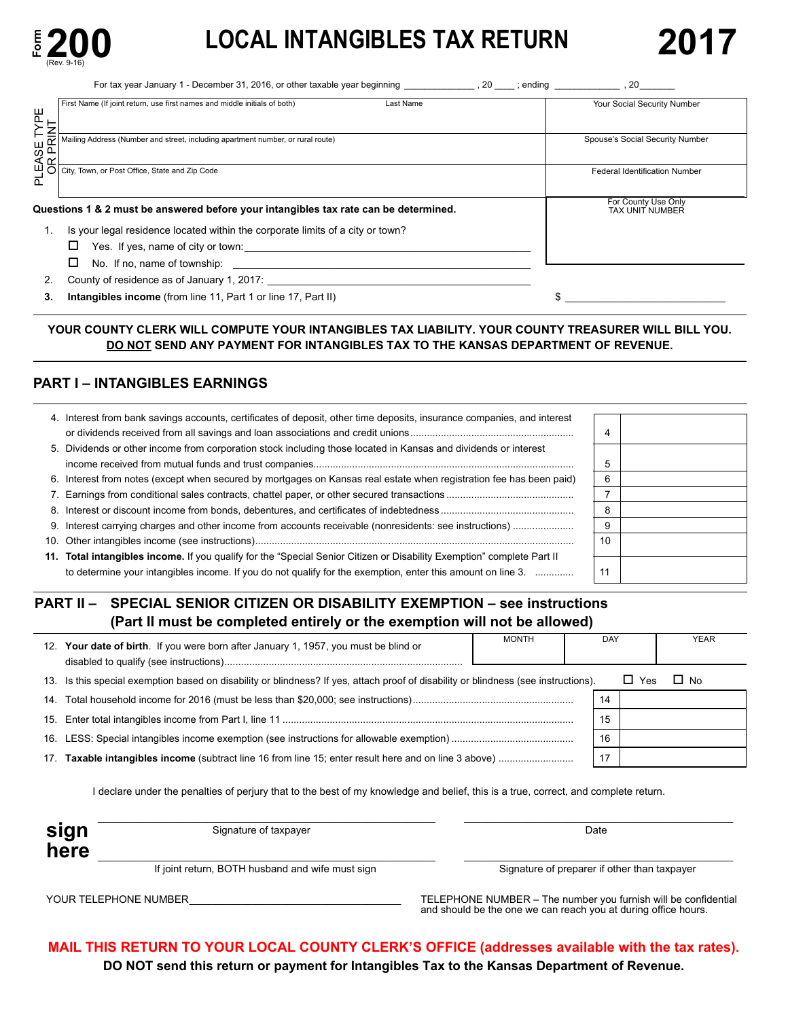

# **200** LOCAL INTANGIBLES TAX RETURN 2017

| <b>LOCAL INTANGIBLES TAX RETURN</b>                                                                                                                  | 2017                                                                                                                                                                                                                                                                                                                                                |
|------------------------------------------------------------------------------------------------------------------------------------------------------|-----------------------------------------------------------------------------------------------------------------------------------------------------------------------------------------------------------------------------------------------------------------------------------------------------------------------------------------------------|
|                                                                                                                                                      |                                                                                                                                                                                                                                                                                                                                                     |
| Last Name<br>First Name (If joint return, use first names and middle initials of both)                                                               | Your Social Security Number                                                                                                                                                                                                                                                                                                                         |
| Mailing Address (Number and street, including apartment number, or rural route)                                                                      | Spouse's Social Security Number                                                                                                                                                                                                                                                                                                                     |
|                                                                                                                                                      | <b>Federal Identification Number</b>                                                                                                                                                                                                                                                                                                                |
|                                                                                                                                                      | For County Use Only<br>TAX UNIT NUMBER                                                                                                                                                                                                                                                                                                              |
| Is your legal residence located within the corporate limits of a city or town?                                                                       |                                                                                                                                                                                                                                                                                                                                                     |
| Yes. If yes, name of city or town:                                                                                                                   |                                                                                                                                                                                                                                                                                                                                                     |
| No. If no, name of township:<br><u> 2000 - 2000 - 2000 - 2000 - 2000 - 2000 - 2000 - 2000 - 2000 - 2000 - 2000 - 2000 - 2000 - 2000 - 2000 - 200</u> |                                                                                                                                                                                                                                                                                                                                                     |
| County of residence as of January 1, 2017:                                                                                                           |                                                                                                                                                                                                                                                                                                                                                     |
|                                                                                                                                                      | <b>200</b> !<br>(Rev. 9-16)<br>For tax year January 1 - December 31, 2016, or other taxable year beginning _______________, 20 ____; ending ______________<br>TYPE<br>INT<br>PLEASE<br>OR PRI<br>City, Town, or Post Office, State and Zip Code<br>Questions 1 & 2 must be answered before your intangibles tax rate can be determined.<br>1.<br>2. |

 **3. Intangibles income** (from line 11, Part 1 or line 17, Part II) \$ \_\_\_\_\_\_\_\_\_\_\_\_\_\_\_\_\_\_\_\_\_\_\_\_\_\_\_\_

### **YOUR COUNTY CLERK WILL COMPUTE YOUR INTANGIBLES TAX LIABILITY. YOUR COUNTY TREASURER WILL BILL YOU. DO NOT SEND ANY PAYMENT FOR INTANGIBLES TAX TO THE KANSAS DEPARTMENT OF REVENUE.**

### **PART I – INTANGIBLES EARNINGS**

| 4. Interest from bank savings accounts, certificates of deposit, other time deposits, insurance companies, and interest |    |  |
|-------------------------------------------------------------------------------------------------------------------------|----|--|
|                                                                                                                         | 4  |  |
| 5. Dividends or other income from corporation stock including those located in Kansas and dividends or interest         |    |  |
|                                                                                                                         |    |  |
| 6. Interest from notes (except when secured by mortgages on Kansas real estate when registration fee has been paid)     |    |  |
|                                                                                                                         |    |  |
|                                                                                                                         | 8  |  |
|                                                                                                                         | g  |  |
|                                                                                                                         | 10 |  |
| 11. Total intangibles income. If you qualify for the "Special Senior Citizen or Disability Exemption" complete Part II  |    |  |
| to determine your intangibles income. If you do not qualify for the exemption, enter this amount on line 3.             | 11 |  |

### **PART II – SPECIAL SENIOR CITIZEN OR DISABILITY EXEMPTION – see instructions (Part II must be completed entirely or the exemption will not be allowed)**

|                 | 12. Your date of birth. If you were born after January 1, 1957, you must be blind or                                            | <b>MONTH</b> |    | DAY |            | <b>YEAR</b> |
|-----------------|---------------------------------------------------------------------------------------------------------------------------------|--------------|----|-----|------------|-------------|
| 13.             | Is this special exemption based on disability or blindness? If yes, attach proof of disability or blindness (see instructions). |              |    |     | $\Box$ Yes | $\Box$ No   |
|                 |                                                                                                                                 |              |    | 14  |            |             |
|                 |                                                                                                                                 |              | 15 |     |            |             |
|                 |                                                                                                                                 |              |    | 16  |            |             |
| 17 <sub>1</sub> |                                                                                                                                 |              |    |     |            |             |

 I declare under the penalties of perjury that to the best of my knowledge and belief, this is a true, correct, and complete return.

| Signature of taxpayer                            | Date                                         |
|--------------------------------------------------|----------------------------------------------|
|                                                  |                                              |
| If joint return, BOTH husband and wife must sign | Signature of preparer if other than taxpayer |

 YOUR TELEPHONE NUMBER\_\_\_\_\_\_\_\_\_\_\_\_\_\_\_\_\_\_\_\_\_\_\_\_\_\_\_\_\_\_\_\_\_\_\_\_\_ TELEPHONE NUMBER – The number you furnish will be confidential and should be the one we can reach you at during office hours.

**MAIL THIS RETURN TO YOUR LOCAL COUNTY CLERK'S OFFICE (addresses available with the tax rates). DO NOT send this return or payment for Intangibles Tax to the Kansas Department of Revenue.**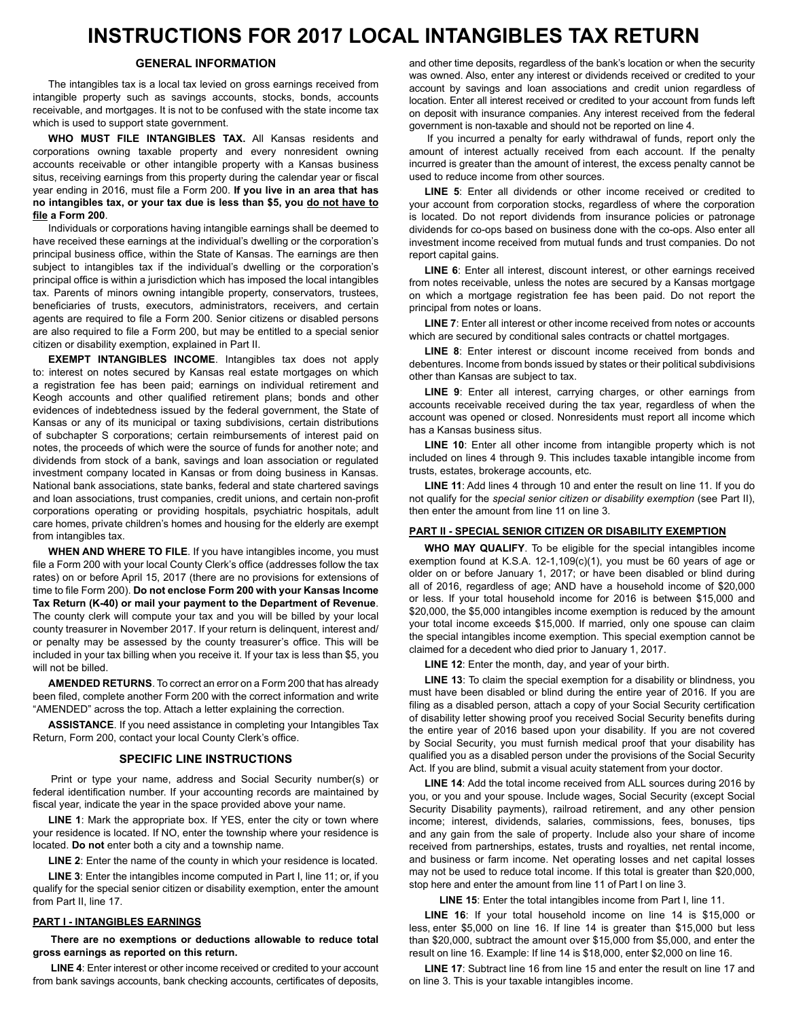## **INSTRUCTIONS FOR 2017 LOCAL INTANGIBLES TAX RETURN**

### **GENERAL INFORMATION**

 The intangibles tax is a local tax levied on gross earnings received from intangible property such as savings accounts, stocks, bonds, accounts receivable, and mortgages. It is not to be confused with the state income tax which is used to support state government.

 **WHO MUST FILE INTANGIBLES TAX.** All Kansas residents and corporations owning taxable property and every nonresident owning accounts receivable or other intangible property with a Kansas business situs, receiving earnings from this property during the calendar year or fiscal year ending in 2016, must file a Form 200. **If you live in an area that has no intangibles tax, or your tax due is less than \$5, you do not have to file a Form 200**.

 Individuals or corporations having intangible earnings shall be deemed to have received these earnings at the individual's dwelling or the corporation's principal business office, within the State of Kansas. The earnings are then subject to intangibles tax if the individual's dwelling or the corporation's principal office is within a jurisdiction which has imposed the local intangibles tax. Parents of minors owning intangible property, conservators, trustees, beneficiaries of trusts, executors, administrators, receivers, and certain agents are required to file a Form 200. Senior citizens or disabled persons are also required to file a Form 200, but may be entitled to a special senior citizen or disability exemption, explained in Part II.

 **EXEMPT INTANGIBLES INCOME**. Intangibles tax does not apply to: interest on notes secured by Kansas real estate mortgages on which a registration fee has been paid; earnings on individual retirement and Keogh accounts and other qualified retirement plans; bonds and other evidences of indebtedness issued by the federal government, the State of Kansas or any of its municipal or taxing subdivisions, certain distributions of subchapter S corporations; certain reimbursements of interest paid on notes, the proceeds of which were the source of funds for another note; and dividends from stock of a bank, savings and loan association or regulated investment company located in Kansas or from doing business in Kansas. National bank associations, state banks, federal and state chartered savings and loan associations, trust companies, credit unions, and certain non-profit corporations operating or providing hospitals, psychiatric hospitals, adult care homes, private children's homes and housing for the elderly are exempt from intangibles tax.

 **WHEN AND WHERE TO FILE**. If you have intangibles income, you must file a Form 200 with your local County Clerk's office (addresses follow the tax rates) on or before April 15, 2017 (there are no provisions for extensions of time to file Form 200). **Do not enclose Form 200 with your Kansas Income**  The county clerk will compute your tax and you will be billed by your local county treasurer in November 2017. If your return is delinquent, interest and/ or penalty may be assessed by the county treasurer's office. This will be included in your tax billing when you receive it. If your tax is less than \$5, you will not be billed. **Tax Return (K-40) or mail your payment to the Department of Revenue**.

 **AMENDED RETURNS**. To correct an error on a Form 200 that has already been filed, complete another Form 200 with the correct information and write "AMENDED" across the top. Attach a letter explaining the correction.

 **ASSISTANCE**. If you need assistance in completing your Intangibles Tax Return, Form 200, contact your local County Clerk's office.

### **SPECIFIC LINE INSTRUCTIONS**

 Print or type your name, address and Social Security number(s) or federal identification number. If your accounting records are maintained by fiscal year, indicate the year in the space provided above your name.

 **LINE 1**: Mark the appropriate box. If YES, enter the city or town where your residence is located. If NO, enter the township where your residence is located. **Do not** enter both a city and a township name.

 **LINE 2**: Enter the name of the county in which your residence is located.

 **LINE 3**: Enter the intangibles income computed in Part I, line 11; or, if you qualify for the special senior citizen or disability exemption, enter the amount from Part II, line 17.

### **PART I - INTANGIBLES EARNINGS**

**There are no exemptions or deductions allowable to reduce total gross earnings as reported on this return.** 

 **LINE 4**: Enter interest or other income received or credited to your account from bank savings accounts, bank checking accounts, certificates of deposits, and other time deposits, regardless of the bank's location or when the security was owned. Also, enter any interest or dividends received or credited to your account by savings and loan associations and credit union regardless of location. Enter all interest received or credited to your account from funds left deposit with insurance companies. Any interest received from the federal government is non-taxable and should not be reported on line 4. and other time deposits, regardless of the bank's location or when the security<br>was owned. Also, enter any interest or dividends received or credited to your<br>account by savings and loan associations and credit union regard

If you incurred a penalty for early withdrawal of funds, report only the amount of interest actually received from each account. If the penalty is greater than the amount of interest, the excess penalty cannot be used to reduce income from other sources. If you incurred a penalty for early withdrawal of funds, report only the amount of interest actually received from each account. If the penalty incurred is greater than the amount of interest, the excess penalty cannot be

LINE 5: Enter all dividends or other income received or credited to **LINE 5**: Enter all dividends or other income received or credited to<br>your account from corporation stocks, regardless of where the corporation is located. Do not report dividends from insurance policies or patronage for co-ops based on business done with the co-ops. Also enter all investment income received from mutual funds and trust companies. Do not report capital gains. is located. Do not report dividends from insurance policies or patronage<br>dividends for co-ops based on business done with the co-ops. Also enter all<br>investment income received from mutual funds and trust companies. Do not<br>

LINE 6: Enter all interest, discount interest, or other earnings received notes receivable, unless the notes are secured by a Kansas mortgage on which a mortgage registration fee has been paid. Do not report the principal from notes or loans. **LINE 6**: Enter all interest, discount interest, or other earnings received from notes receivable, unless the notes are secured by a Kansas mortgage on which a mortgage registration fee has been paid. Do not report the pri

LINE 7: Enter all interest or other income received from notes or accounts **LINE 7**: Enter all interest or other income received from notes or accountswhich are secured by conditional sales contracts or chattel mortgages.

LINE 8: Enter interest or discount income received from bonds and **LINE 8**: Enter interest or discount income received from bonds and debentures. Income from bonds issued by states or their political subdivisions other than Kansas are subject to tax.

LINE 9: Enter all interest, carrying charges, or other earnings from receivable received during the tax year, regardless of when the account was opened or closed. Nonresidents must report all income which has a Kansas business situs **LINE 9**: Enter all interest, carrying charges, or other earnings from<br>accounts receivable received during the tax year, regardless of when the<br>account was opened or closed. Nonresidents must report all income which<br>has a

LINE 10: Enter all other income from intangible property which is not **LINE 10**: Enter all other income from intangible property which is not included on lines 4 through 9. This includes taxable intangible income from trusts, estates, brokerage accounts, etc.

 **LINE 11**: Add lines 4 through 10 and enter the result on line 11. If you do not qualify for the *special senior citizen or disability exemption* (see Part II),<br>then enter the amount from line 11 on line 3. then enter the amount from line 11 on line 3.

### **PART II - SPECIAL SENIOR CITIZEN OR DISABILITY EXEMPTION**

WHO MAY QUALIFY. To be eligible for the special intangibles income exemption found at K.S.A. 12-1,109(c)(1), you must be 60 years of age or on or before January 1, 2017; or have been disabled or blind during all of 2016, regardless of age; AND have a household income of \$20,000 or less. If your total household income for 2016 is between \$15,000 and \$20,000, the \$5,000 intangibles income exemption is reduced by the amount your total income exceeds \$15,000. If married, only one spouse can claim special intangibles income exemption. This special exemption cannot be claimed for a decedent who died prior to January 1, 2017. WHO MAY QUALIFY. To be eligible for the special intangibles income exemption found at K.S.A. 12-1,109(c)(1), you must be 60 years of age or older on or before January 1, 2017; or have been disabled or blind during all of 2 or less. If your total household income for 2016 is between \$15,000 and<br>\$20,000, the \$5,000 intangibles income exemption is reduced by the amount<br>your total income exceeds \$15,000. If married, only one spouse can claim<br>the

 **LINE 12**: Enter the month, day, and year of your birth.

LINE 13: To claim the special exemption for a disability or blindness, you have been disabled or blind during the entire year of 2016. If you are filing as a disabled person, attach a copy of your Social Security certification of disability letter showing proof you received Social Security benefits during the entire year of 2016 based upon your disability. If you are not covered Social Security, you must furnish medical proof that your disability has qualified you as a disabled person under the provisions of the Social Security Act. If you are blind, submit a visual acuity statement from your doctor. **LINE 13**: To claim the special exemption for a disability or blindness, you<br>must have been disabled or blind during the entire year of 2016. If you are<br>filing as a disabled person, attach a copy of your Social Security ce of disability letter showing proof you received Social Security benefits during<br>the entire year of 2016 based upon your disability. If you are not covered<br>by Social Security, you must furnish medical proof that your disabi

LINE 14: Add the total income received from ALL sources during 2016 by you, or you and your spouse. Include wages, Social Security (except Social Security Disability payments), railroad retirement, and any other pension interest, dividends, salaries, commissions, fees, bonuses, tips and any gain from the sale of property. Include also your share of income received from partnerships, estates, trusts and royalties, net rental income, and business or farm income. Net operating losses and net capital losses may not be used to reduce total income. If this total is greater than \$20,000, stop here and enter the amount from line 11 of Part I on line 3. LINE 14: Add the total income received from ALL sources during 2016 by<br>you, or you and your spouse. Include wages, Social Security (except Social<br>Security Disability payments), railroad retirement, and any other pension<br>in

 **LINE 15**: Enter the total intangibles income from Part I, line 11.

LINE 16: If your total household income on line 14 is \$15,000 or less, enter \$5,000 on line 16. If line 14 is greater than \$15,000 but less ,000, subtract the amount over \$15,000 from \$5,000, and enter the result on line 16. Example: If line 14 is \$18,000, enter \$2,000 on line 16. **LINE 16**: If your total household income on line 14 is \$15,000 or less, enter \$5,000 on line 16. If line 14 is greater than \$15,000 but less than \$20,000, subtract the amount over \$15,000 from \$5,000, and enter the resul

**LINE 17**: Subtract line 16 from line 15 and enter the result on line 17 and on line 3. This is your taxable intangibles income. on line 3. This is your taxable intangibles income.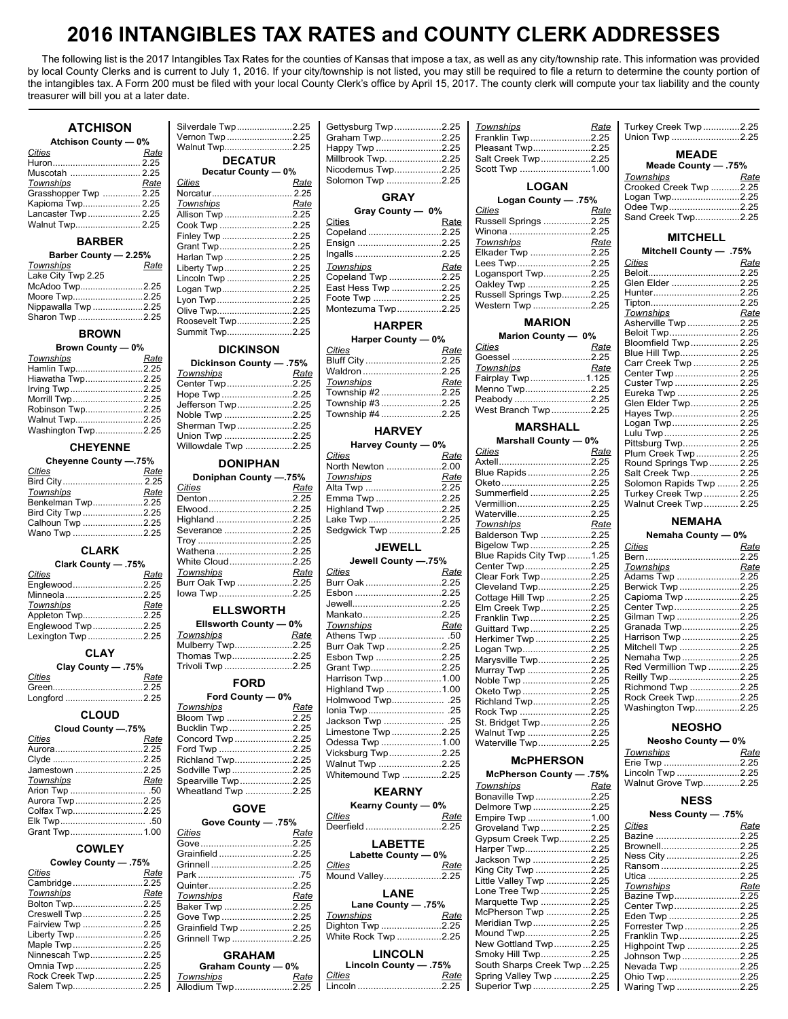# **2016 INTANGIBLES TAX RATES and COUNTY CLERK ADDRESSES**

 The following list is the 2017 Intangibles Tax Rates for the counties of Kansas that impose a tax, as well as any city/township rate. This information was provided by local County Clerks and is current to July 1, 2016. If your city/township is not listed, you may still be required to file a return to determine the county portion of the intangibles tax. A Form 200 must be filed with your local County Clerk's office by April 15, 2017. The county clerk will compute your tax liability and the county treasurer will bill you at a later date.

### **ATCHISON**

| <b>Atchison County - 0%</b> |      |  |
|-----------------------------|------|--|
| Cities                      | Rate |  |
|                             |      |  |
|                             |      |  |
| Townships                   | Rate |  |
| Grasshopper Twp  2.25       |      |  |
| Kapioma Twp 2.25            |      |  |
| Lancaster Twp  2.25         |      |  |
| Walnut Twp 2.25             |      |  |

| Barber County - 2.25% |     |
|-----------------------|-----|
| <b>Townships</b>      | Rat |
| Lake City Twp 2.25    |     |
| McAdoo Twp2.2         |     |
| Moore Twp2.2          |     |
| Nippawalla Twp 2.2    |     |
| Sharon Twn            | つつ  |

### **BROWN**

|                          |                               |                  | .    |                                                       |                      |
|--------------------------|-------------------------------|------------------|------|-------------------------------------------------------|----------------------|
| <b>Brown County — 0%</b> | <b>DICKINSON</b>              | Cities           | Rate | <u>Cities          Rate</u><br>Goessel …………………………2.25 | Blue Hill Twp 2.25   |
| Rate<br>Townships        | Dickinson County - .75%       | Bluff City 2.25  |      |                                                       | Carr Creek Twp  2.25 |
| Hamlin Twp2.25           | Rate<br>Townships             | Waldron 2.25     |      | Rate<br>Townships                                     | Center Twp  2.25     |
| Hiawatha Twp2.25         | Center Twp2.25                | Townships        | Rate | Fairplay Twp1.125                                     | Custer Twp  2.25     |
| Irving Twp2.25           | Hope Twp 2.25                 | Township #22.25  |      | Menno Twp2.25                                         | Eureka Twp  2.25     |
| Morrill Twp2.25          | Jefferson Twp2.25             | Township #3 2.25 |      | Peabody 2.25                                          | Glen Elder Twp 2.25  |
| Robinson Twp2.25         |                               | Township #4 2.25 |      | West Branch Twp2.25                                   | Haves Twp2.25        |
| Walnut Twp2.25           | Noble Twp 2.25                |                  |      |                                                       |                      |
| Washington Twp2.25       | Sherman Twp2.25<br>$L = 0.05$ | <b>HARVEY</b>    |      | <b>MARSHALL</b>                                       | Lulu Twn<br>225      |

| Cheyenne County -.75%          | <b>DONIPHAN</b>                    | Cities<br><u>Rate</u><br>North Newton 2.00 | <u><b>PILICO</b></u><br>, www    |
|--------------------------------|------------------------------------|--------------------------------------------|----------------------------------|
| Cities<br>Rate                 | Doniphan County -.75%              | Rate<br>Townships                          | Blue Rapids2.25                  |
| Townships<br>Benkelman Twp2.25 | Rate<br>Cities                     |                                            | Summerfield2.25                  |
|                                |                                    |                                            | Vermillion2.25<br>Waterville2.25 |
| Calhoun Twp 2.25               |                                    |                                            | Townships<br>Rate                |
| Wano Twp 2.25                  | $\sim$ $\sim$ $\sim$ $\sim$ $\sim$ | Severance 2.25   Sedqwick Twp 2.25         | Balderson Twp 2.25               |

| .75% - Clark County |      |  |
|---------------------|------|--|
| <b>Cities</b>       | Rate |  |
| Englewood2.25       |      |  |
|                     |      |  |
| Townships           | Rate |  |
| Appleton Twp2.25    |      |  |
| Englewood Twp2.25   |      |  |
| Lexington Twn       | 225  |  |

| Clay County - .75% |      |  |
|--------------------|------|--|
| Cities             | Rate |  |
|                    |      |  |
| المستمركية والمسار |      |  |

| Cloud County -.75% |      |  |
|--------------------|------|--|
| Cities             | Rate |  |
|                    |      |  |
|                    |      |  |
| Jamestown 2.25     |      |  |
| Townships          | Rate |  |
|                    |      |  |
| Aurora Twp2.25     |      |  |
| Colfax Twp2.25     |      |  |
|                    |      |  |
|                    |      |  |

| 75%. Cowley County - .75% |      |  |
|---------------------------|------|--|
| Cities                    | Rate |  |
| Cambridge2.25             |      |  |
| Townships                 | Rate |  |
| Bolton Twp2.25            |      |  |
| Creswell Twp 2.25         |      |  |
| Fairview Twp 2.25         |      |  |
| Liberty Twp2.25           |      |  |
| Maple Twp2.25             |      |  |
| Ninnescah Twp2.25         |      |  |
| Omnia Twp 2.25            |      |  |
| Rock Creek Twp2.25        |      |  |
| Salem Twp2.25             |      |  |

| <b>ATCHISON</b>       | Silverdale Twp2.25  | Gettysburg Twp2.25  | Townships<br><u>Rate</u> | Turkey Creek Twp2.25                        |
|-----------------------|---------------------|---------------------|--------------------------|---------------------------------------------|
| Atchison County - 0%  | Vernon Twp 2.25     | Graham Twp2.25      | Franklin Twp2.25         | Union Twp 2.25                              |
| Cities<br>Rate        | Walnut Twp2.25      | Happy Twp 2.25      | Pleasant Twp2.25         | <b>MEADE</b>                                |
|                       | <b>DECATUR</b>      | Millbrook Twp. 2.25 | Salt Creek Twp2.25       | Meade County - 75%                          |
| Muscotah  2.25        | Decatur County - 0% | Nicodemus Twp2.25   | Scott Twp 1.00           |                                             |
| Townships<br>Rate     | Cities<br>Rate      | Solomon Twp 2.25    | <b>LOGAN</b>             | Townships<br>Rate<br>Crooked Creek Twp 2.25 |
| Grasshopper Twp  2.25 |                     | <b>GRAY</b>         | Logan County - 75%       | Logan Twp2.25                               |
| Kapioma Twp 2.25      | Rate<br>Townships   |                     | Cities                   | Odee Twp2.25                                |
| Lancaster Twp  2.25   | Allison Twp 2.25    | Gray County - 0%    | <b>Rate</b>              | Sand Creek Twp2.25                          |
| Walnut Twp 2.25       | Cook Twp 2.25       | Cities<br>Rate      | Russell Springs 2.25     |                                             |
|                       | Finley Twp 2.25     | Copeland2.25        | Winona 2.25              | <b>MITCHELL</b>                             |
| <b>BARBER</b>         | Grant Twp2.25       | Ensign 2.25         | Townships<br>Rate        |                                             |
| Barber County - 2.25% | Harlan Twp 2.25     |                     | Elkader Twp 2.25         | Mitchell County - .75%                      |
| Townships<br>Rate     | Liberty Twp2.25     | Rate<br>Townships   | Lees Twp2.25             | Cities<br>Rate                              |
| Lake City Twp 2.25    | Lincoln Twp 2.25    | Copeland Twp 2.25   | Logansport Twp2.25       |                                             |
| McAdoo Twp2.25        | Logan Twp2.25       | East Hess Twp 2.25  | Oakley Twp 2.25          | Glen Elder 2.25                             |
| Moore Twp2.25         |                     | Foote Twp 2.25      | Russell Springs Twp2.25  | Hunter2.25                                  |
| Nippawalla Twp 2.25   | Lyon Twp2.25        |                     | Western Twp 2.25         | Tipton2.25                                  |
| Sharon Twp 2.25       | Olive Twp2.25       | Montezuma Twp2.25   |                          | Townships<br>Rate                           |
|                       | Roosevelt Twp2.25   | <b>HARPER</b>       | <b>MARION</b>            | Asherville Twp2.25                          |
| <b>BROWN</b>          | Summit Twp2.25      |                     | Marion County - 0%       | Beloit Twp 2.25                             |
|                       |                     | Harper County - 0%  | $\sim$ $\sim$            | Rloomfield Twn 225                          |

| Dickinson County - .75% |      | Bluff City 2.25    |      |
|-------------------------|------|--------------------|------|
| Townships               | Rate | Waldron2.25        |      |
| Center Twp2.25          |      | Townships          | Rate |
| Hope Twp2.25            |      | Township #2 2.25   |      |
| Jefferson Twp2.25       |      | Township #3 2.25   |      |
| Noble Twp 2.25          |      | Township #4 2.25   |      |
| Sherman Twp2.25         |      |                    |      |
| Union Twp 2.25          |      | <b>HARVEY</b>      |      |
| Willowdale Twp 2.25     |      | Harvey County - 0% |      |
|                         |      |                    |      |

| <b>Cities</b>       | Rate |                                                                                                                                                                                                                                            |                                        |                          |      |
|---------------------|------|--------------------------------------------------------------------------------------------------------------------------------------------------------------------------------------------------------------------------------------------|----------------------------------------|--------------------------|------|
|                     |      | Doniphan County -.75%                                                                                                                                                                                                                      | <b>Townships</b>                       | Oketo 2.25               |      |
| <b>Townships</b>    | Rate | Cities<br>Rate                                                                                                                                                                                                                             |                                        | Summerfield 2.25         |      |
| Benkelman Twp2.25   |      | Denton2.25                                                                                                                                                                                                                                 | Emma Twp 2.25                          |                          |      |
|                     |      | Elwood2.25                                                                                                                                                                                                                                 | Highland Twp 2.25                      | Vermillion2.25           |      |
| Bird City Twp 2.25  |      | Highland 2.25                                                                                                                                                                                                                              | Lake Twp2.25                           | Waterville2.25           |      |
| Calhoun Twp 2.25    |      |                                                                                                                                                                                                                                            |                                        | Townships                | Rate |
| Wano Twp 2.25       |      | Severance 2.25                                                                                                                                                                                                                             | Sedgwick Twp 2.25                      | Balderson Twp 2.25       |      |
|                     |      |                                                                                                                                                                                                                                            | <b>JEWELL</b>                          | Bigelow Twp 2.25         |      |
| <b>CLARK</b>        |      | Wathena 2.25                                                                                                                                                                                                                               |                                        | Blue Rapids City Twp1.25 |      |
| Clark County - .75% |      | White Cloud2.25                                                                                                                                                                                                                            | Jewell County --. 75%                  |                          |      |
|                     |      | <b>Townships contrary to the contrary of the contrary of the contrary of the contrary of the contrary of the contrary of the contrary of the contrary of the contrary of the contrary of the contrary of the contrary of the c</b><br>Rate | <i>Cities</i> <b>Community</b><br>Rate | Center Twp2.25           |      |
| Cities              | Rate | Burr Oak Twp 2.25                                                                                                                                                                                                                          | Burr Oak 2.25                          | Clear Fork Twp2.25       |      |
| Englewood2.25       |      |                                                                                                                                                                                                                                            |                                        | Cleveland Twp2.25        |      |
| Minneola 2.25       |      |                                                                                                                                                                                                                                            |                                        | Cottage Hill Twp 2.25    |      |
| Townships           | Rate | <b>FULOWODTU</b>                                                                                                                                                                                                                           |                                        | Flm Creek Twn 225        |      |
|                     |      |                                                                                                                                                                                                                                            |                                        |                          |      |

### **Ellsworth County — 0%**

| $\mathsf{L}$ is worth county $\mathsf{U}$ to $\mathsf{V}$ |      |  |  |
|-----------------------------------------------------------|------|--|--|
| <b>Townships</b>                                          | Rate |  |  |
| Mulberry Twp2.25                                          |      |  |  |
| Thomas Twp2.25                                            |      |  |  |
| Trivoli Twp 2.25                                          |      |  |  |
| FODD                                                      |      |  |  |

|                          | Townships                          |                                          |                                       | Washington Twp2.25   |
|--------------------------|------------------------------------|------------------------------------------|---------------------------------------|----------------------|
| <b>CLOUD</b>             | <u>Rate</u>                        |                                          |                                       |                      |
|                          |                                    |                                          |                                       |                      |
| Cloud County -.75%       | Bucklin Twp 2.25                   | Limestone Twp2.25                        | Walnut Twp 2.25                       | <b>NEOSHO</b>        |
| Cities<br>Rate           | Concord Twp 2.25                   |                                          | Odessa Twp 1.00   Waterville Twp 2.25 | Neosho County - 0%   |
|                          | Ford Twp 2.25                      |                                          |                                       | Townships<br>Rate    |
|                          | Richland Twp2.25                   | Vicksburg Twp2.25                        | <b>McPHERSON</b>                      | Erie Twp 2.25        |
|                          | Jamestown 2.25   Sodville Twp 2.25 | Walnut Twp 2.25                          |                                       |                      |
|                          |                                    | Whitemound Twp 2.25                      | 75%. — McPherson County               | Lincoln Twp 2.25     |
| <b>Townships</b><br>Rate | Spearville Twp2.25                 |                                          | Rate<br>Townships                     | Walnut Grove Twp2.25 |
|                          | Wheatland Twp 2.25                 | <b>KEARNY</b>                            | Bonaville Twp2.25                     |                      |
| Aurora Twp2.25           |                                    | $V_{\text{e}}$ and $\theta$ and $\theta$ | ----<br>_ _ _ _ _                     | <b>NESS</b>          |
|                          |                                    |                                          |                                       |                      |

|                       |                                  | Cities<br>Rate        | Empire Twp 1.00            | $ness$ County $-1.3\%$   |
|-----------------------|----------------------------------|-----------------------|----------------------------|--------------------------|
|                       | Gove County - 75%                | Deerfield2.25         | Groveland Twp2.25          | Cities<br>Rate           |
| Grant Twp1.00         | Rate<br>Cities                   |                       |                            | Bazine 2.25              |
|                       |                                  | <b>LABETTE</b>        | Gypsum Creek Twp2.25       | Brownell2.25             |
| <b>COWLEY</b>         | Grainfield 2.25                  | Labette County - 0%   | Harper Twp2.25             | Ness City2.25            |
| Cowley County - 75%   | Grinnell 2.25                    | Cities                | Jackson Twp 2.25           |                          |
| Cities<br><u>Rate</u> |                                  | Rate                  | King City Twp 2.25         | Ransom2.25               |
| Cambridge2.25         |                                  | Mound Valley2.25      | Little Valley Twp 2.25     |                          |
| Townships             | Quinter2.25                      | LANE                  | Lone Tree Twp 2.25         | Townships<br><u>Rate</u> |
| <u>Rate</u>           | Townships<br>Rate                |                       | Marquette Twp 2.25         | Bazine Twp2.25           |
| Bolton Twp2.25        | Baker Twp 2.25                   | Lane County - 75%     |                            | Center Twp2.25           |
| Creswell Twp 2.25     | Gove Twp 2.25                    | Rate<br>Townships     | McPherson Twp 2.25         | Eden Twp 2.25            |
| Fairview Twp 2.25     | Grainfield Twp 2.25              | Dighton Twp 2.25      | Meridian Twp2.25           | Forrester Twp2.25        |
| Liberty Twp 2.25      | Grinnell Twp 2.25                | White Rock Twp 2.25   | Mound Twp2.25              | Franklin Twp2.25         |
| Maple Twp2.25         |                                  |                       | New Gottland Twp2.25       | Highpoint Twp 2.25       |
| Ninnescah Twp2.25     | <b>GRAHAM</b>                    | <b>LINCOLN</b>        | Smoky Hill Twp2.25         | Johnson Twp 2.25         |
|                       | Graham County - 0%               | Lincoln County - .75% | South Sharps Creek Twp2.25 | Nevada Twp 2.25          |
| Rock Creek Twp2.25    | Townships<br>Rate                | Cities<br><u>Rate</u> | Spring Valley Twp 2.25     | Ohio Twp 2.25            |
|                       | Salem Twp2.25   Allodium Twp2.25 | Lincoln 2.25          | Superior Twp 2.25          | Waring Twp 2.25          |
|                       |                                  |                       |                            |                          |

| dale Twp2.25<br>n Twp 2.25<br>t Twp2.25 |                      | Gettysburg Twp2.25<br>Graham Twp2.25<br>Happy Twp 2.25       |  |
|-----------------------------------------|----------------------|--------------------------------------------------------------|--|
| <b>DECATUR</b><br>Decatur County - 0%   |                      | Millbrook Twp. 2.25<br>Nicodemus Twp2.25<br>Solomon Twp 2.25 |  |
| tur 2.25<br>hips<br><b>There</b>        | Rate<br>Rate<br>0.05 | <b>GRAY</b><br>Grav County - 0%                              |  |

|                               |                              |        | Rate   Russell Springs 2.25   Sand Creek Twp         |
|-------------------------------|------------------------------|--------|------------------------------------------------------|
|                               |                              |        | <b>MITCHELL</b>                                      |
|                               |                              | Rate I |                                                      |
|                               |                              |        | <b>Mitchell County -</b>                             |
| .<br>p 2.25 Townships         | Rate   Lees Twp2.25   Cities |        |                                                      |
| ⁄р 2.25 │ СореIаnd Twp 2.25 │ |                              |        | Logansport Twp2.25   Beloit                          |
|                               |                              |        |                                                      |
|                               |                              |        |                                                      |
|                               |                              |        | 2.25   Montezuma Twp2.25   Western Twp 2.25   Tipton |
|                               |                              |        |                                                      |

### **Harper County — 0%**

| $\frac{1}{2}$ and $\frac{1}{2}$ county $\frac{1}{2}$ v/ $\frac{1}{2}$ |      |
|-----------------------------------------------------------------------|------|
| <u>Cities</u>                                                         | Rate |
| Bluff City 2.25                                                       |      |
| Waldron 2.25                                                          |      |
| Townships                                                             | Rate |
| Township #22.25                                                       |      |
| Township #32.25                                                       |      |
| Township #4 2.25                                                      |      |

| _________________________________ |                    |      |  |
|-----------------------------------|--------------------|------|--|
| le Twp 2.25                       | Harvey County - 0% |      |  |
|                                   | Cities             | Rate |  |
| <b>DONIPHAN</b>                   | North Newton 2.00  |      |  |
| ohan County --.75%                | Townships          | Rate |  |
| Rate                              | Alta Twp 2.25      |      |  |
|                                   | Emma Twp 2.25      |      |  |
| 2.25                              | Highland Twp 2.25  |      |  |
|                                   | Lake Twp2.25       |      |  |
| e ……………………2.25 <sup>.</sup>       | Sedqwick Twp 2.25  |      |  |
| 2.25                              |                    |      |  |
|                                   |                    |      |  |

| Jewell County -.75%                       |      |
|-------------------------------------------|------|
| Cities                                    | Rate |
| Burr Oak 2.25                             |      |
| Esbon 2.25                                |      |
|                                           |      |
| Mankato2.25                               |      |
| Townships                                 | Rate |
|                                           |      |
| Burr Oak Twp 2.25                         |      |
| Esbon Twp 2.25                            |      |
| Grant Twp2.25                             |      |
| Harrison Twp 1.00                         |      |
| Highland Twp 1.00                         |      |
| Holmwood Twp .25                          |      |
|                                           |      |
| Jackson Twp  .25                          |      |
| Limestone Twp2.25                         |      |
| Odessa Twp 1.00                           |      |
| Vicksburg Twp2.25                         |      |
| Walnut Twp 2.25                           |      |
| $M/\hbar$ itomound Turn $\Omega$ $\Omega$ |      |

### **KEARNY**

| Kearny County - 0% |      |  |  |
|--------------------|------|--|--|
| Cities             | Rate |  |  |
| Deerfield 2.25     |      |  |  |
| <b>ADCTTC</b>      |      |  |  |

| Labette County - 0%        |      |  |  |  |
|----------------------------|------|--|--|--|
| <u>Cities</u>              | Rate |  |  |  |
| Mound Valley2.25           |      |  |  |  |
| LANE<br>75%. - Lane County |      |  |  |  |
| <b>Townships</b>           | Rate |  |  |  |
| Dighton Twp 2.25           |      |  |  |  |
| White Rock Twp 2.25        |      |  |  |  |
|                            |      |  |  |  |

| Lincoln County - 75% |      |
|----------------------|------|
| Cities               | Rate |
| Lincoln 2.25         |      |

| Townships            | Rate |
|----------------------|------|
| Franklin Twp2.25     |      |
| Pleasant Twp2.25     |      |
| Salt Creek Twp2.25   |      |
| Scott Twp 1.00       |      |
| <b>LOGAN</b>         |      |
| Logan County - .75%  |      |
| Cities               | Rate |
| Russell Springs 2.25 |      |
| Winona 2.25          |      |
| Townships            | Rate |
| <b>Elkader Twn</b>   | つつら  |

| Townships               | Rate |
|-------------------------|------|
| Elkader Twp 2.25        |      |
| Lees Twp2.25            |      |
| Logansport Twp2.25      |      |
| Oakley Twp 2.25         |      |
| Russell Springs Twp2.25 |      |
| Western Twp 2.25        |      |
|                         |      |

### **HARPER MARION**

|                                   |                 | Harper County - 0% | Marion County - 0%   |      |
|-----------------------------------|-----------------|--------------------|----------------------|------|
| <b>DICKINSON</b>                  | Cities          | Rate               | Cities               | Rate |
| Dickinson County - 75%            | Bluff City 2.25 |                    | Goessel 2.25         |      |
| Townships<br>Rate                 | Waldron2.25     |                    | Townships            | Rate |
| Center Twp2.25                    | Townships       | Rate               | Fairplay Twp1.125    |      |
| Hope Twp 2.25                     | Township #22.25 |                    | Menno Twp2.25        |      |
| Jefferson Twp2.25 Township #32.25 |                 |                    | Peabody 2.25         |      |
| Noble Twp 2.25   Township #4 2.25 |                 |                    | West Branch Twp 2.25 |      |

### **MARSHALL**

|                       |      |                       |                      | <b>Marshall County - 0%</b> |      |
|-----------------------|------|-----------------------|----------------------|-----------------------------|------|
| <b>CHEYENNE</b>       |      | Willowdale Twp 2.25   | Harvey County - 0%   | Cities                      | Rate |
| Cheyenne County -.75% |      |                       | Cities<br>Rate       |                             |      |
| Cities                | Rate | <b>DONIPHAN</b>       | North Newton 2.00    | Blue Rapids 2.25            |      |
| Bird City 2.25        |      | Doniphan County -.75% | Townships<br>Rate    | Oketo2.25                   |      |
| Townships             | Rate | <b>Cities</b><br>Rate | Alta Twp 2.25        | Summerfield 2.25            |      |
| Benkelman Twp2.25     |      | Denton2.25            | Emma Twp 2.25        | Vermillion2.25              |      |
| Bird City Twp 2.25    |      | Elwood2.25            | Highland Twp 2.25    | Waterville2.25              |      |
| Calhoun Twp 2.25      |      | Highland 2.25         | Lake Twp2.25         | Townships                   | Rate |
| Wano Twp 2.25         |      | Severance 2.25        | Sedgwick Twp 2.25    | Balderson Twp 2.25          |      |
|                       |      |                       |                      | Bigelow Twp2.25             |      |
| <b>CLARK</b>          |      | Wathena 2.25          | <b>JEWELL</b>        | Blue Rapids City Twp1.25    |      |
| Clark County - .75%   |      | White Cloud2.25       | Jewell County -. 75% | Center Twp2.25              |      |
| Cities                | Rate | Townships<br>Rate     | Cities<br>Rate       | Clear Fork Twp2.25          |      |
| Englewood2.25         |      | Burr Oak Twp 2.25     | Burr Oak 2.25        | Cleveland Twp2.25           |      |
| Minneola 2.25         |      | lowa Twp2.25          | Esbon 2.25           | Cottage Hill Twp 2.25       |      |
| Townships             | Rate |                       |                      | Elm Creek Twp2.25           |      |
| Appleton Twp2.25      |      | <b>ELLSWORTH</b>      | Mankato2.25          | Franklin Twp2.25            |      |
| Englewood Twp2.25     |      | Ellsworth County - 0% | Townships<br>Rate    | Guittard Twp2.25            |      |
| Lexington Twp 2.25    |      | Townships<br>Rate     |                      | Herkimer Twp 2.25           |      |
|                       |      | Mulberry Twp2.25      | Burr Oak Twp 2.25    | Logan Twp2.25               |      |
| <b>CLAY</b>           |      | Thomas Twp2.25        | Esbon Twp 2.25       | Marysville Twp2.25          |      |
| Clay County - .75%    |      | Trivoli Twp 2.25      | Grant Twp2.25        | Murray Twp 2.25             |      |
| Cities                | Rate |                       | Harrison Twp1.00     | Noble Twp 2.25              |      |
|                       |      | <b>FORD</b>           | Highland Twp 1.00    | Oketo Twp2.25               |      |
| Longford 2.25         |      | Ford County - 0%      | Holmwood Twp .25     | Richland Twp2.25            |      |
|                       |      | Townships<br>Rate     |                      | Rock Twp 2.25               |      |
| <b>CLOUD</b>          |      | Bloom Twp 2.25        |                      | St. Bridget Twp2.25         |      |
| Cloud County -. 75%   |      | Bucklin Twp 2.25      | Limestone Twp2.25    | Walnut Twp 2.25             |      |
| Cities                | Rate | Concord Twp2.25       | Odessa Twp 1.00      | Waterville Twp2.25          |      |
| Aurora                | 2.25 | 2.25<br>Ford Twn      |                      |                             |      |

|                       |                     | Whitemound Twp 2.25          | McPherson County — .75%    | Lincoln Twp 2.25         |
|-----------------------|---------------------|------------------------------|----------------------------|--------------------------|
| Townships<br>Rate     | Spearville Twp2.25  |                              | Rate<br>Townships          | Walnut Grove Twp2.25     |
|                       | Wheatland Twp 2.25  | <b>KEARNY</b>                | Bonaville Twp 2.25         |                          |
| Aurora Twp 2.25       |                     | Kearny County - 0%           |                            | <b>NESS</b>              |
| Colfax Twp2.25        | <b>GOVE</b>         |                              | Delmore Twp2.25            | Ness County - 75%        |
|                       | Gove County - 75%   | Cities<br><u>Rate</u>        | Empire Twp 1.00            |                          |
| Grant Twp1.00         | Rate<br>Cities      | Deerfield2.25                | Groveland Twp2.25          | Cities<br>Rate           |
|                       |                     | <b>LABETTE</b>               | Gypsum Creek Twp2.25       | Bazine 2.25              |
| <b>COWLEY</b>         |                     |                              | Harper Twp2.25             | Brownell2.25             |
| Cowley County - 75%   | Grainfield2.25      | Labette County - 0%          | Jackson Twp 2.25           | Ness City2.25            |
|                       | Grinnell 2.25       | Cities<br>Rate               | King City Twp 2.25         | Ransom2.25               |
| Cities<br><u>Rate</u> |                     | Mound Valley2.25             | Little Valley Twp 2.25     |                          |
| Cambridge2.25         | Quinter2.25         |                              |                            | Townships<br><u>Rate</u> |
| Rate<br>Townships     | Rate<br>Townships   | <b>LANE</b>                  | Lone Tree Twp 2.25         | Bazine Twp2.25           |
| Bolton Twp2.25        | Baker Twp 2.25      | 75%. Lane County - .75%      | Marquette Twp 2.25         | Center Twp2.25           |
| Creswell Twp 2.25     | Gove Twp2.25        | Rate<br><u>Townships</u>     | McPherson Twp 2.25         | Eden Twp 2.25            |
| Fairview Twp 2.25     | Grainfield Twp 2.25 | Dighton Twp 2.25             | Meridian Twp2.25           | Forrester Twp2.25        |
| Liberty Twp 2.25      | Grinnell Twp 2.25   | White Rock Twp 2.25          | Mound Twp2.25              | Franklin Twp2.25         |
| Maple Twp2.25         |                     |                              | New Gottland Twp2.25       | Highpoint Twp 2.25       |
| Ninnescah Twp2.25     | <b>GRAHAM</b>       | <b>LINCOLN</b>               | Smoky Hill Twp2.25         | Johnson Twp 2.25         |
| Omnia Twp 2.25        | Graham County - 0%  | Lincoln County - 75%         | South Sharps Creek Twp2.25 | Nevada Twp 2.25          |
| Rock Creek Twp2.25    | Townships<br>Rate   | <u>Cities</u><br><u>Rate</u> | Spring Valley Twp 2.25     | Ohio Twp 2.25            |
|                       |                     |                              |                            |                          |

| <b>ATCHISON</b>                         | Silverdale Twp2.25      | Gettysburg Twp2.25                                   | Townships<br>Rate        | Turkey Creek Twp2.25          |
|-----------------------------------------|-------------------------|------------------------------------------------------|--------------------------|-------------------------------|
| Atchison County - 0%                    | Vernon Twp 2.25         | Graham Twp2.25                                       | Franklin Twp2.25         | Union Twp 2.25                |
| <b>Cities</b><br>Rate                   | Walnut Twp2.25          | Happy Twp 2.25                                       | Pleasant Twp2.25         | <b>MEADE</b>                  |
| Huron 2.25                              | <b>DECATUR</b>          | Millbrook Twp. 2.25                                  | Salt Creek Twp2.25       |                               |
| Muscotah  2.25                          | Decatur County - 0%     | Nicodemus Twp2.25                                    | Scott Twp 1.00           | Meade County - 75%            |
| Townships<br>Rate                       | Cities<br>Rate          | Solomon Twp 2.25                                     | <b>LOGAN</b>             | Townships<br>Rate             |
| Grasshopper Twp  2.25                   | Norcatur 2.25           |                                                      |                          | Crooked Creek Twp 2.25        |
| Kapioma Twp 2.25                        | Townships<br>Rate       | <b>GRAY</b>                                          | Logan County - .75%      | Logan Twp2.25<br>Odee Twp2.25 |
| Lancaster Twp  2.25                     | Allison Twp 2.25        | Gray County - 0%                                     | Cities<br>Rate           | Sand Creek Twp2.25            |
| Walnut Twp 2.25                         | Cook Twp 2.25           | Cities<br>Rate                                       | Russell Springs 2.25     |                               |
|                                         | Finley Twp 2.25         | Copeland2.25                                         | Winona 2.25              | <b>MITCHELL</b>               |
| <b>BARBER</b>                           | Grant Twp2.25           | Ensign 2.25                                          | Townships<br>Rate        |                               |
| Barber County - 2.25%                   | Harlan Twp 2.25         |                                                      | Elkader Twp 2.25         | Mitchell County - .75%        |
| Townships<br>Rate                       | Liberty Twp2.25         | <b>Townships</b><br>Rate                             | Lees Twp2.25             | Cities<br>Rate                |
| Lake City Twp 2.25                      | Lincoln Twp 2.25        | Copeland Twp 2.25                                    | Logansport Twp2.25       |                               |
| McAdoo Twp2.25                          | Logan Twp2.25           | East Hess Twp 2.25                                   | Oakley Twp 2.25          | Glen Elder 2.25               |
| Moore Twp2.25                           | Lyon Twp2.25            | Foote Twp 2.25                                       | Russell Springs Twp2.25  | Hunter2.25                    |
| Nippawalla Twp 2.25                     | Olive Twp2.25           | Montezuma Twp2.25                                    | Western Twp 2.25         | Tipton2.25<br>Townships       |
| Sharon Twp 2.25                         | Roosevelt Twp2.25       |                                                      | <b>MARION</b>            | Rate                          |
|                                         | Summit Twp2.25          | <b>HARPER</b>                                        |                          | Beloit Twp 2.25               |
| <b>BROWN</b>                            |                         | Harper County - 0%                                   | Marion County - 0%       | Bloomfield Twp 2.25           |
| Brown County - 0%                       | <b>DICKINSON</b>        | Cities<br>Rate                                       | Cities<br>Rate           | Blue Hill Twp 2.25            |
| <b>Townships</b><br>Rate                | Dickinson County - .75% | Bluff City 2.25                                      | Goessel 2.25             | Carr Creek Twp  2.25          |
| Hamlin Twp2.25                          | Townships<br>Rate       | Waldron2.25                                          | Townships<br><u>Rate</u> | Center Twp 2.25               |
| Hiawatha Twp2.25                        | Center Twp2.25          | Rate<br>Townships                                    | Fairplay Twp1.125        | Custer Twp  2.25              |
| Irving Twp2.25                          | Hope Twp2.25            | Township #2 2.25                                     | Menno Twp2.25            | Eureka Twp  2.25              |
| Morrill Twp2.25                         | Jefferson Twp2.25       | Township #3 2.25                                     | Peabody 2.25             | Glen Elder Twp 2.25           |
| Robinson Twp2.25                        | Noble Twp 2.25          | Township #4 2.25                                     | West Branch Twp2.25      | Hayes Twp 2.25                |
| Walnut Twp2.25                          | Sherman Twp2.25         |                                                      | <b>MARSHALL</b>          | Logan Twp 2.25                |
| Washington Twp2.25                      | Union Twp 2.25          | <b>HARVEY</b>                                        |                          | Lulu Twp 2.25                 |
| <b>CHEYENNE</b>                         | Willowdale Twp 2.25     | Harvey County - 0%                                   | Marshall County - 0%     | Pittsburg Twp 2.25            |
|                                         |                         | Cities<br>Rate                                       | Cities<br>Rate           | Plum Creek Twp 2.25           |
| Cheyenne County -.75%                   | <b>DONIPHAN</b>         | North Newton 2.00                                    |                          | Round Springs Twp 2.25        |
| Cities<br><u>Rate</u>                   | Doniphan County -. 75%  | Townships<br>Rate                                    | Blue Rapids 2.25         | Salt Creek Twp 2.25           |
| Bird City 2.25<br>Townships             | <b>Cities</b><br>Rate   | Alta Twp 2.25                                        |                          | Solomon Rapids Twp  2.25      |
| Rate                                    | Denton2.25              | Emma Twp 2.25                                        | Summerfield 2.25         | Turkey Creek Twp  2.25        |
| Benkelman Twp2.25<br>Bird City Twp 2.25 | Elwood2.25              | Highland Twp 2.25                                    | Vermillion2.25           | Walnut Creek Twp 2.25         |
|                                         | Highland                | 2.25<br>$1 \, \text{a} \, \text{b} \, \text{b}$ Turn | Waterville2.25           | <b>NIMBAILA</b>               |

### *Townships Rate* **NEMAHA**

### **Nemaha County — 0%**

| <b>CLARK</b>          |                       | <b>JEWELL</b>            | Bigelow Twp 2.25         | Cities<br>Rate          |
|-----------------------|-----------------------|--------------------------|--------------------------|-------------------------|
|                       | Wathena 2.25          |                          | Blue Rapids City Twp1.25 |                         |
| Clark County - 75%    | White Cloud2.25       | Jewell County -75%       | Center Twp2.25           | Townships<br>Rate       |
| Cities<br><u>Rate</u> | Townships<br>Rate     | <u>Rate</u><br>Cities    | Clear Fork Twp2.25       | Adams Twp 2.25          |
| Englewood2.25         | Burr Oak Twp 2.25     | Burr Oak 2.25            | Cleveland Twp2.25        | Berwick Twp 2.25        |
| Minneola 2.25         | lowa Twp 2.25         | Esbon 2.25               | Cottage Hill Twp 2.25    | Capioma Twp 2.25        |
| Townships<br>Rate     | <b>ELLSWORTH</b>      | Jewell2.25               | Elm Creek Twp2.25        | Center Twp2.25          |
| Appleton Twp2.25      |                       | Mankato2.25              | Franklin Twp2.25         | Gilman Twp 2.25         |
| Englewood Twp2.25     | Ellsworth County - 0% | Townships<br><u>Rate</u> | Guittard Twp2.25         | Granada Twp2.25         |
| Lexington Twp 2.25    | Rate<br>Townships     |                          | Herkimer Twp 2.25        | Harrison Twp 2.25       |
|                       | Mulberry Twp2.25      | Burr Oak Twp 2.25        | Logan Twp2.25            | Mitchell Twp 2.25       |
| <b>CLAY</b>           | Thomas Twp2.25        | Esbon Twp 2.25           | Marysville Twp2.25       | Nemaha Twp2.25          |
| Clay County - 75%     | Trivoli Twp 2.25      | Grant Twp2.25            | Murray Twp 2.25          | Red Vermillion Twp 2.25 |
| Cities<br>Rate        |                       | Harrison Twp1.00         | Noble Twp 2.25           | Reilly Twp2.25          |
|                       | <b>FORD</b>           | Highland Twp 1.00        | Oketo Twp 2.25           | Richmond Twp 2.25       |
| Longford 2.25         | Ford County - 0%      |                          | Richland Twp2.25         | Rock Creek Twp2.25      |
| C <sub>1</sub>        | Rate<br>Townships     |                          |                          | Washington Twp2.25      |

### **NEOSHO**

| Cities                | Rate    |                    | . Odessa Twp 1.00   Waterville Twp 2.25 |                    | Neosho County — 0%                                |
|-----------------------|---------|--------------------|-----------------------------------------|--------------------|---------------------------------------------------|
| $\sim$ 2.25<br>Aurora |         | Ford Twp 2.25      | Vicksburg Twp2.25                       |                    | Rate<br>ownships                                  |
| Clvde                 |         | Richland Twp2.25   | Walnut Twp                              | <b>McPHERSON</b>   |                                                   |
|                       |         | Sodville Twp2.25   | Whitemound Twp 2.25                     |                    | <b>McPherson County — .75%</b>   Lincoln Twp 2.25 |
| Townships             | Rate    | Spearville Twp2.25 |                                         |                    | Walnut Grove Twp2.25                              |
|                       | $-\sim$ | ___                |                                         | Rate<br>I ownships |                                                   |

### **Ness County — .75%**

|               | ັບແບບ<br>$rac{1}{2}$ |                            |                    |      |
|---------------|----------------------|----------------------------|--------------------|------|
| ounty — .75%  | Deerfield2.25        | Groveland Twp2.25          | Cities             | Rate |
| Rate          |                      | Gypsum Creek Twp2.25       | Bazine 2.25        |      |
|               | <b>LABETTE</b>       | Harper Twp2.25             | Brownell2.25       |      |
|               | Labette County - 0%  | Jackson Twp 2.25           | Ness City2.25      |      |
|               | Cities<br>Rate       |                            | Ransom 2.25        |      |
|               | Mound Valley2.25     | King City Twp 2.25         |                    |      |
|               |                      | Little Valley Twp 2.25     | Townships          | Rate |
| Rate          | LANE                 | Lone Tree Twp 2.25         | Bazine Twp2.25     |      |
| 2.25          | Lane County - 75%    | Marquette Twp 2.25         | Center Twp2.25     |      |
|               | Townships<br>Rate    | McPherson Twp 2.25         | Eden Twp 2.25      |      |
| p 2.25        | Dighton Twp 2.25     | Meridian Twp2.25           | Forrester Twp 2.25 |      |
|               | White Rock Twp 2.25  | Mound Twp2.25              | Franklin Twp2.25   |      |
|               |                      | New Gottland Twp2.25       | Highpoint Twp 2.25 |      |
| RAHAM         | <b>LINCOLN</b>       | Smoky Hill Twp2.25         | Johnson Twp 2.25   |      |
| ւ County — 0% | Lincoln County - 75% | South Sharps Creek Twp2.25 | Nevada Twp 2.25    |      |
| Rate          | Cities<br>Rate       | Spring Valley Twp 2.25     | Ohio Twp2.25       |      |
|               | Lincoln 2.25         | Superior Twp 2.25          | Waring Twp 2.25    |      |
|               |                      |                            |                    |      |